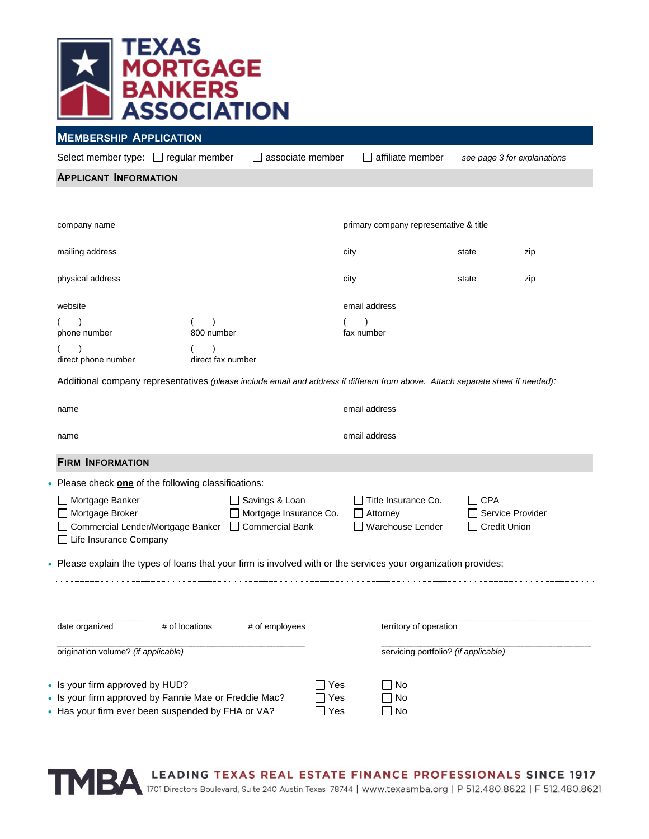

**MEMBERSHIP APPLICATION**

Select member type:  $\Box$  regular member  $\Box$  associate member  $\Box$  affiliate member see page 3 for explanations

## **APPLICANT INFORMATION**

| company name                                                                                                                    |               | primary company representative & title |                     |     |
|---------------------------------------------------------------------------------------------------------------------------------|---------------|----------------------------------------|---------------------|-----|
| mailing address                                                                                                                 | city          |                                        | state               | zip |
| physical address                                                                                                                | city          |                                        | state               | zip |
| website                                                                                                                         | email address |                                        |                     |     |
|                                                                                                                                 |               |                                        |                     |     |
| 800 number<br>phone number                                                                                                      | fax number    |                                        |                     |     |
|                                                                                                                                 |               |                                        |                     |     |
| direct phone number<br>direct fax number                                                                                        |               |                                        |                     |     |
| Additional company representatives (please include email and address if different from above. Attach separate sheet if needed): |               |                                        |                     |     |
| name                                                                                                                            | email address |                                        |                     |     |
| name                                                                                                                            | email address |                                        |                     |     |
| <b>FIRM INFORMATION</b>                                                                                                         |               |                                        |                     |     |
| Please check one of the following classifications:                                                                              |               |                                        |                     |     |
| □ Savings & Loan<br>Mortgage Banker                                                                                             |               | Title Insurance Co.                    | ∃ CPA               |     |
| Mortgage Broker<br>Mortgage Insurance Co.                                                                                       |               | Attorney                               | Service Provider    |     |
| Commercial Lender/Mortgage Banker<br><b>Commercial Bank</b><br>□ Life Insurance Company                                         |               | Warehouse Lender                       | <b>Credit Union</b> |     |
| Please explain the types of loans that your firm is involved with or the services your organization provides:                   |               |                                        |                     |     |
|                                                                                                                                 |               |                                        |                     |     |
| # of employees<br>date organized<br># of locations                                                                              |               | territory of operation                 |                     |     |
|                                                                                                                                 |               |                                        |                     |     |
| origination volume? (if applicable)                                                                                             |               | servicing portfolio? (if applicable)   |                     |     |
| • Is your firm approved by HUD?                                                                                                 | ∐ Yes         | No                                     |                     |     |
| • Is your firm approved by Fannie Mae or Freddie Mac?                                                                           | Yes           | No                                     |                     |     |
| • Has your firm ever been suspended by FHA or VA?                                                                               | $\Box$ Yes    | No                                     |                     |     |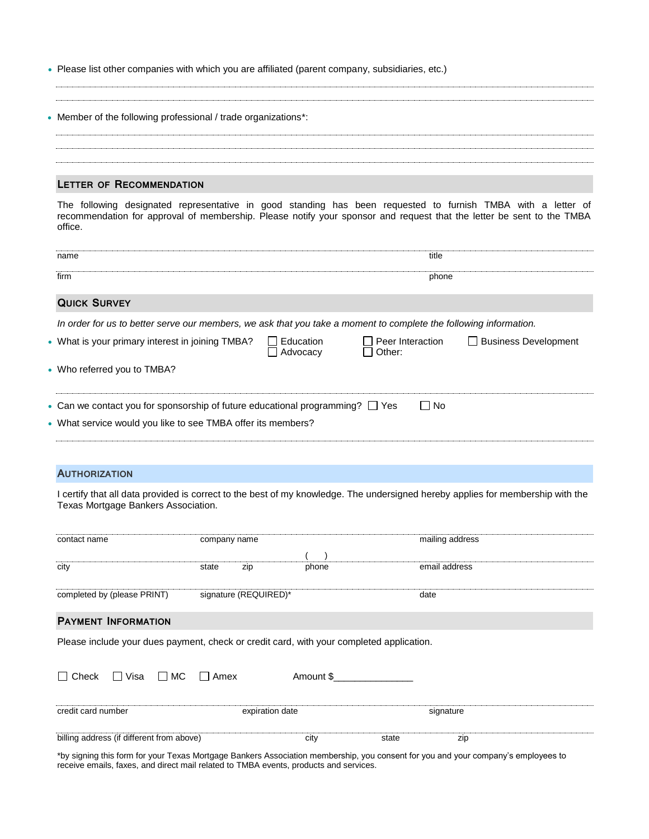Please list other companies with which you are affiliated (parent company, subsidiaries, etc.)

| • Member of the following professional / trade organizations*: |
|----------------------------------------------------------------|
|                                                                |
|                                                                |
|                                                                |
|                                                                |

#### **LETTER OF RECOMMENDATION**

The following designated representative in good standing has been requested to furnish TMBA with a letter of recommendation for approval of membership. Please notify your sponsor and request that the letter be sent to the TMBA office.

| name                                                                                                              |                       | title                                      |                        |
|-------------------------------------------------------------------------------------------------------------------|-----------------------|--------------------------------------------|------------------------|
| firm                                                                                                              |                       | phone                                      |                        |
| <b>QUICK SURVEY</b>                                                                                               |                       |                                            |                        |
| In order for us to better serve our members, we ask that you take a moment to complete the following information. |                       |                                            |                        |
| • What is your primary interest in joining TMBA?                                                                  | Education<br>Advocacv | Peer Interaction<br>$\mathbf{I}$<br>Other: | □ Business Development |
| • Who referred you to TMBA?                                                                                       |                       |                                            |                        |
| • Can we contact you for sponsorship of future educational programming? $\Box$ Yes                                |                       | $\Box$ No                                  |                        |
| • What service would you like to see TMBA offer its members?                                                      |                       |                                            |                        |

# **AUTHORIZATION**

I certify that all data provided is correct to the best of my knowledge. The undersigned hereby applies for membership with the Texas Mortgage Bankers Association.

| contact name                                                                             | company name          |               | mailing address |
|------------------------------------------------------------------------------------------|-----------------------|---------------|-----------------|
|                                                                                          |                       |               |                 |
| city                                                                                     | zip<br>state          | phone         | email address   |
|                                                                                          |                       |               |                 |
| completed by (please PRINT)                                                              | signature (REQUIRED)* |               | date            |
|                                                                                          |                       |               |                 |
| <b>PAYMENT INFORMATION</b>                                                               |                       |               |                 |
| Please include your dues payment, check or credit card, with your completed application. |                       |               |                 |
|                                                                                          |                       |               |                 |
|                                                                                          |                       |               |                 |
| ∏ Visa<br>$\Box$ MC<br>Check                                                             | l I Amex              | Amount \$     |                 |
|                                                                                          |                       |               |                 |
| credit card number                                                                       | expiration date       |               | signature       |
|                                                                                          |                       |               |                 |
| billing address (if different from above)                                                |                       | city<br>state | zip             |
|                                                                                          |                       |               |                 |

\*by signing this form for your Texas Mortgage Bankers Association membership, you consent for you and your company's employees to receive emails, faxes, and direct mail related to TMBA events, products and services.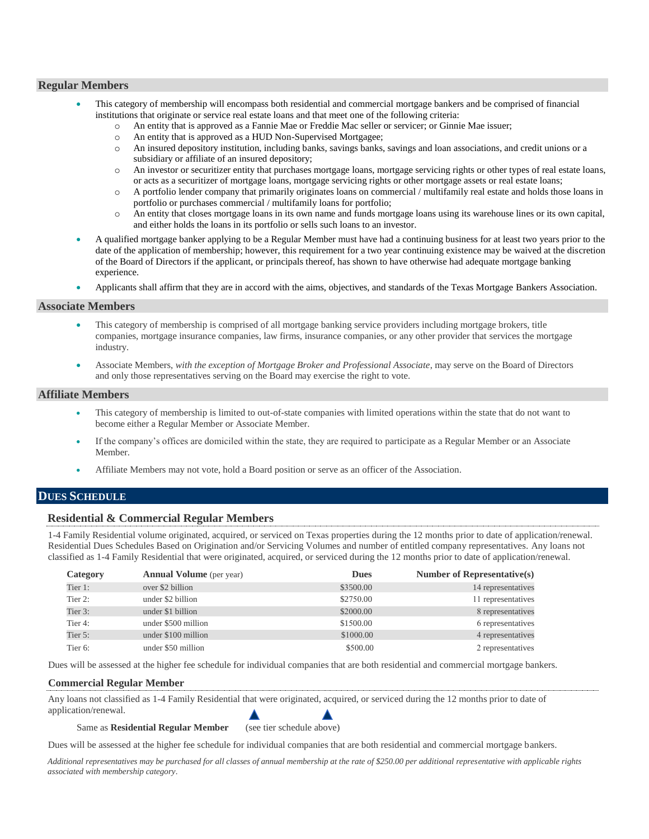## **Regular Members**

- This category of membership will encompass both residential and commercial mortgage bankers and be comprised of financial institutions that originate or service real estate loans and that meet one of the following criteria:
	- o An entity that is approved as a Fannie Mae or Freddie Mac seller or servicer; or Ginnie Mae issuer;
	- o An entity that is approved as a HUD Non-Supervised Mortgagee;
	- o An insured depository institution, including banks, savings banks, savings and loan associations, and credit unions or a subsidiary or affiliate of an insured depository;
	- o An investor or securitizer entity that purchases mortgage loans, mortgage servicing rights or other types of real estate loans, or acts as a securitizer of mortgage loans, mortgage servicing rights or other mortgage assets or real estate loans;
	- o A portfolio lender company that primarily originates loans on commercial / multifamily real estate and holds those loans in portfolio or purchases commercial / multifamily loans for portfolio;
	- o An entity that closes mortgage loans in its own name and funds mortgage loans using its warehouse lines or its own capital, and either holds the loans in its portfolio or sells such loans to an investor.
- A qualified mortgage banker applying to be a Regular Member must have had a continuing business for at least two years prior to the date of the application of membership; however, this requirement for a two year continuing existence may be waived at the discretion of the Board of Directors if the applicant, or principals thereof, has shown to have otherwise had adequate mortgage banking experience.
- Applicants shall affirm that they are in accord with the aims, objectives, and standards of the Texas Mortgage Bankers Association.

## **Associate Members**

- This category of membership is comprised of all mortgage banking service providers including mortgage brokers, title companies, mortgage insurance companies, law firms, insurance companies, or any other provider that services the mortgage industry.
- Associate Members, *with the exception of Mortgage Broker and Professional Associate*, may serve on the Board of Directors and only those representatives serving on the Board may exercise the right to vote.

### **Affiliate Members**

- This category of membership is limited to out-of-state companies with limited operations within the state that do not want to become either a Regular Member or Associate Member.
- If the company's offices are domiciled within the state, they are required to participate as a Regular Member or an Associate Member.
- Affiliate Members may not vote, hold a Board position or serve as an officer of the Association.

# **DUES SCHEDULE**

# **Residential & Commercial Regular Members**

1-4 Family Residential volume originated, acquired, or serviced on Texas properties during the 12 months prior to date of application/renewal. Residential Dues Schedules Based on Origination and/or Servicing Volumes and number of entitled company representatives. Any loans not classified as 1-4 Family Residential that were originated, acquired, or serviced during the 12 months prior to date of application/renewal.

| Category | <b>Annual Volume</b> (per year) | <b>Dues</b> | <b>Number of Representative(s)</b> |
|----------|---------------------------------|-------------|------------------------------------|
| Tier 1:  | over \$2 billion                | \$3500.00   | 14 representatives                 |
| Tier 2:  | under \$2 billion               | \$2750.00   | 11 representatives                 |
| Tier 3:  | under \$1 billion               | \$2000.00   | 8 representatives                  |
| Tier 4:  | under \$500 million             | \$1500.00   | 6 representatives                  |
| Tier 5:  | under \$100 million             | \$1000.00   | 4 representatives                  |
| Tier 6:  | under \$50 million              | \$500.00    | 2 representatives                  |

Dues will be assessed at the higher fee schedule for individual companies that are both residential and commercial mortgage bankers.

### **Commercial Regular Member**

Any loans not classified as 1-4 Family Residential that were originated, acquired, or serviced during the 12 months prior to date of application/renewal.

### Same as **Residential Regular Member** (see tier schedule above)

Dues will be assessed at the higher fee schedule for individual companies that are both residential and commercial mortgage bankers.

*Additional representatives may be purchased for all classes of annual membership at the rate of \$250.00 per additional representative with applicable rights associated with membership category*.